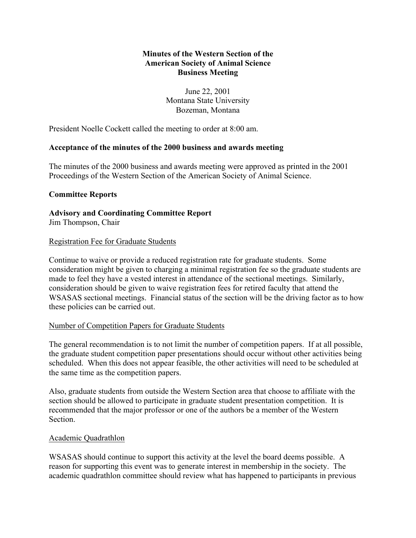# **Minutes of the Western Section of the American Society of Animal Science Business Meeting**

June 22, 2001 Montana State University Bozeman, Montana

President Noelle Cockett called the meeting to order at 8:00 am.

# **Acceptance of the minutes of the 2000 business and awards meeting**

The minutes of the 2000 business and awards meeting were approved as printed in the 2001 Proceedings of the Western Section of the American Society of Animal Science.

## **Committee Reports**

**Advisory and Coordinating Committee Report** Jim Thompson, Chair

### Registration Fee for Graduate Students

Continue to waive or provide a reduced registration rate for graduate students. Some consideration might be given to charging a minimal registration fee so the graduate students are made to feel they have a vested interest in attendance of the sectional meetings. Similarly, consideration should be given to waive registration fees for retired faculty that attend the WSASAS sectional meetings. Financial status of the section will be the driving factor as to how these policies can be carried out.

### Number of Competition Papers for Graduate Students

The general recommendation is to not limit the number of competition papers. If at all possible, the graduate student competition paper presentations should occur without other activities being scheduled. When this does not appear feasible, the other activities will need to be scheduled at the same time as the competition papers.

Also, graduate students from outside the Western Section area that choose to affiliate with the section should be allowed to participate in graduate student presentation competition. It is recommended that the major professor or one of the authors be a member of the Western Section.

### Academic Quadrathlon

WSASAS should continue to support this activity at the level the board deems possible. A reason for supporting this event was to generate interest in membership in the society. The academic quadrathlon committee should review what has happened to participants in previous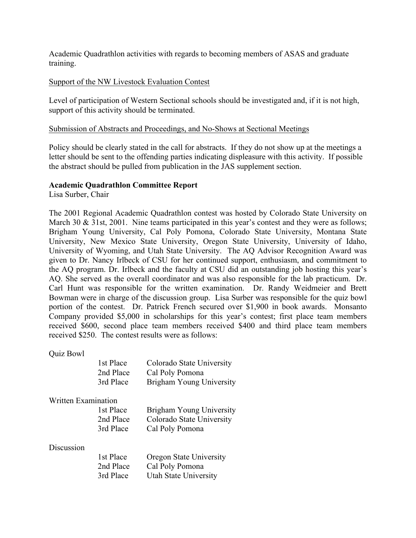Academic Quadrathlon activities with regards to becoming members of ASAS and graduate training.

### Support of the NW Livestock Evaluation Contest

Level of participation of Western Sectional schools should be investigated and, if it is not high, support of this activity should be terminated.

### Submission of Abstracts and Proceedings, and No-Shows at Sectional Meetings

Policy should be clearly stated in the call for abstracts. If they do not show up at the meetings a letter should be sent to the offending parties indicating displeasure with this activity. If possible the abstract should be pulled from publication in the JAS supplement section.

## **Academic Quadrathlon Committee Report**

Lisa Surber, Chair

The 2001 Regional Academic Quadrathlon contest was hosted by Colorado State University on March 30 & 31st, 2001. Nine teams participated in this year's contest and they were as follows; Brigham Young University, Cal Poly Pomona, Colorado State University, Montana State University, New Mexico State University, Oregon State University, University of Idaho, University of Wyoming, and Utah State University. The AQ Advisor Recognition Award was given to Dr. Nancy Irlbeck of CSU for her continued support, enthusiasm, and commitment to the AQ program. Dr. Irlbeck and the faculty at CSU did an outstanding job hosting this year's AQ. She served as the overall coordinator and was also responsible for the lab practicum. Dr. Carl Hunt was responsible for the written examination. Dr. Randy Weidmeier and Brett Bowman were in charge of the discussion group. Lisa Surber was responsible for the quiz bowl portion of the contest. Dr. Patrick French secured over \$1,900 in book awards. Monsanto Company provided \$5,000 in scholarships for this year's contest; first place team members received \$600, second place team members received \$400 and third place team members received \$250. The contest results were as follows:

Quiz Bowl

| 1st Place | Colorado State University |
|-----------|---------------------------|
| 2nd Place | Cal Poly Pomona           |
| 3rd Place | Brigham Young University  |

Written Examination

| 1st Place | Brigham Young University  |
|-----------|---------------------------|
| 2nd Place | Colorado State University |
| 3rd Place | Cal Poly Pomona           |

#### Discussion

| 1st Place | Oregon State University |
|-----------|-------------------------|
| 2nd Place | Cal Poly Pomona         |
| 3rd Place | Utah State University   |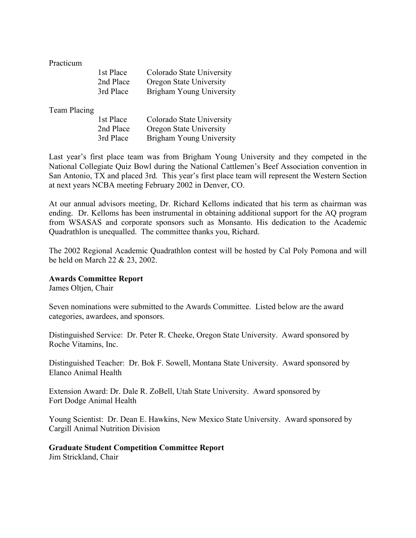Practicum

| 1st Place | Colorado State University |
|-----------|---------------------------|
| 2nd Place | Oregon State University   |
| 3rd Place | Brigham Young University  |

#### Team Placing

| 1st Place | Colorado State University |
|-----------|---------------------------|
| 2nd Place | Oregon State University   |
| 3rd Place | Brigham Young University  |

Last year's first place team was from Brigham Young University and they competed in the National Collegiate Quiz Bowl during the National Cattlemen's Beef Association convention in San Antonio, TX and placed 3rd. This year's first place team will represent the Western Section at next years NCBA meeting February 2002 in Denver, CO.

At our annual advisors meeting, Dr. Richard Kelloms indicated that his term as chairman was ending. Dr. Kelloms has been instrumental in obtaining additional support for the AQ program from WSASAS and corporate sponsors such as Monsanto. His dedication to the Academic Quadrathlon is unequalled. The committee thanks you, Richard.

The 2002 Regional Academic Quadrathlon contest will be hosted by Cal Poly Pomona and will be held on March 22 & 23, 2002.

### **Awards Committee Report**

James Oltjen, Chair

Seven nominations were submitted to the Awards Committee. Listed below are the award categories, awardees, and sponsors.

Distinguished Service: Dr. Peter R. Cheeke, Oregon State University. Award sponsored by Roche Vitamins, Inc.

Distinguished Teacher: Dr. Bok F. Sowell, Montana State University. Award sponsored by Elanco Animal Health

Extension Award: Dr. Dale R. ZoBell, Utah State University. Award sponsored by Fort Dodge Animal Health

Young Scientist: Dr. Dean E. Hawkins, New Mexico State University. Award sponsored by Cargill Animal Nutrition Division

### **Graduate Student Competition Committee Report**

Jim Strickland, Chair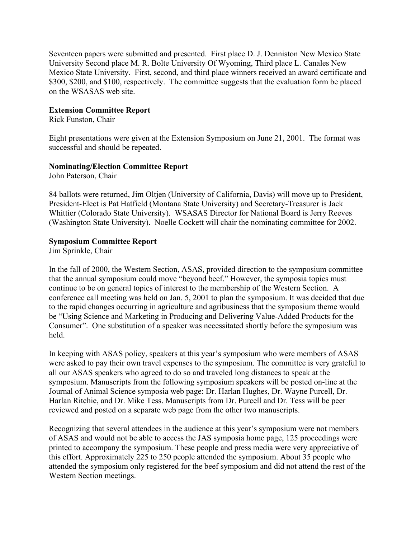Seventeen papers were submitted and presented. First place D. J. Denniston New Mexico State University Second place M. R. Bolte University Of Wyoming, Third place L. Canales New Mexico State University. First, second, and third place winners received an award certificate and \$300, \$200, and \$100, respectively. The committee suggests that the evaluation form be placed on the WSASAS web site.

### **Extension Committee Report**

Rick Funston, Chair

Eight presentations were given at the Extension Symposium on June 21, 2001. The format was successful and should be repeated.

## **Nominating/Election Committee Report**

John Paterson, Chair

84 ballots were returned, Jim Oltjen (University of California, Davis) will move up to President, President-Elect is Pat Hatfield (Montana State University) and Secretary-Treasurer is Jack Whittier (Colorado State University). WSASAS Director for National Board is Jerry Reeves (Washington State University). Noelle Cockett will chair the nominating committee for 2002.

## **Symposium Committee Report**

Jim Sprinkle, Chair

In the fall of 2000, the Western Section, ASAS, provided direction to the symposium committee that the annual symposium could move "beyond beef." However, the symposia topics must continue to be on general topics of interest to the membership of the Western Section. A conference call meeting was held on Jan. 5, 2001 to plan the symposium. It was decided that due to the rapid changes occurring in agriculture and agribusiness that the symposium theme would be "Using Science and Marketing in Producing and Delivering Value-Added Products for the Consumer". One substitution of a speaker was necessitated shortly before the symposium was held.

In keeping with ASAS policy, speakers at this year's symposium who were members of ASAS were asked to pay their own travel expenses to the symposium. The committee is very grateful to all our ASAS speakers who agreed to do so and traveled long distances to speak at the symposium. Manuscripts from the following symposium speakers will be posted on-line at the Journal of Animal Science symposia web page: Dr. Harlan Hughes, Dr. Wayne Purcell, Dr. Harlan Ritchie, and Dr. Mike Tess. Manuscripts from Dr. Purcell and Dr. Tess will be peer reviewed and posted on a separate web page from the other two manuscripts.

Recognizing that several attendees in the audience at this year's symposium were not members of ASAS and would not be able to access the JAS symposia home page, 125 proceedings were printed to accompany the symposium. These people and press media were very appreciative of this effort. Approximately 225 to 250 people attended the symposium. About 35 people who attended the symposium only registered for the beef symposium and did not attend the rest of the Western Section meetings.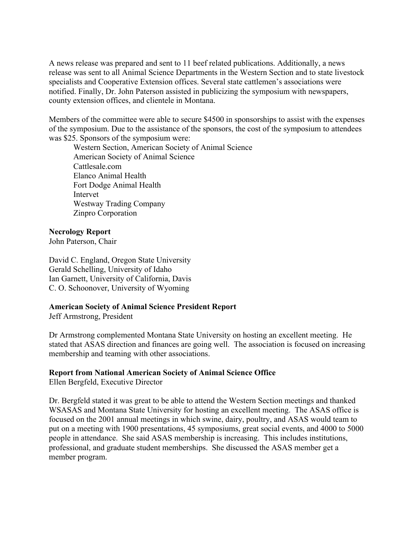A news release was prepared and sent to 11 beef related publications. Additionally, a news release was sent to all Animal Science Departments in the Western Section and to state livestock specialists and Cooperative Extension offices. Several state cattlemen's associations were notified. Finally, Dr. John Paterson assisted in publicizing the symposium with newspapers, county extension offices, and clientele in Montana.

Members of the committee were able to secure \$4500 in sponsorships to assist with the expenses of the symposium. Due to the assistance of the sponsors, the cost of the symposium to attendees was \$25. Sponsors of the symposium were:

Western Section, American Society of Animal Science American Society of Animal Science Cattlesale.com Elanco Animal Health Fort Dodge Animal Health Intervet Westway Trading Company Zinpro Corporation

## **Necrology Report**

John Paterson, Chair

David C. England, Oregon State University Gerald Schelling, University of Idaho Ian Garnett, University of California, Davis C. O. Schoonover, University of Wyoming

### **American Society of Animal Science President Report**

Jeff Armstrong, President

Dr Armstrong complemented Montana State University on hosting an excellent meeting. He stated that ASAS direction and finances are going well. The association is focused on increasing membership and teaming with other associations.

# **Report from National American Society of Animal Science Office**

Ellen Bergfeld, Executive Director

Dr. Bergfeld stated it was great to be able to attend the Western Section meetings and thanked WSASAS and Montana State University for hosting an excellent meeting. The ASAS office is focused on the 2001 annual meetings in which swine, dairy, poultry, and ASAS would team to put on a meeting with 1900 presentations, 45 symposiums, great social events, and 4000 to 5000 people in attendance. She said ASAS membership is increasing. This includes institutions, professional, and graduate student memberships. She discussed the ASAS member get a member program.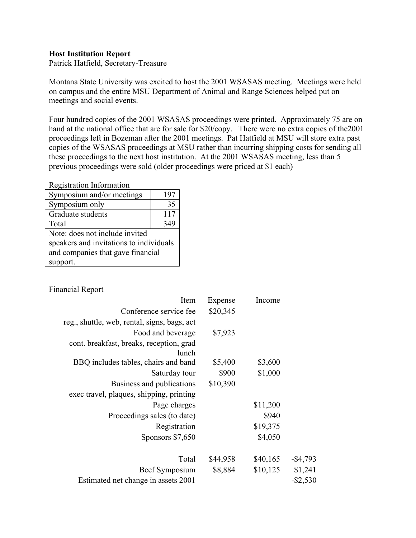### **Host Institution Report**

Patrick Hatfield, Secretary-Treasure

Montana State University was excited to host the 2001 WSASAS meeting. Meetings were held on campus and the entire MSU Department of Animal and Range Sciences helped put on meetings and social events.

Four hundred copies of the 2001 WSASAS proceedings were printed. Approximately 75 are on hand at the national office that are for sale for \$20/copy. There were no extra copies of the2001 proceedings left in Bozeman after the 2001 meetings. Pat Hatfield at MSU will store extra past copies of the WSASAS proceedings at MSU rather than incurring shipping costs for sending all these proceedings to the next host institution. At the 2001 WSASAS meeting, less than 5 previous proceedings were sold (older proceedings were priced at \$1 each)

Registration Information

| Symposium and/or meetings               | 197 |  |
|-----------------------------------------|-----|--|
| Symposium only                          | 35  |  |
| Graduate students                       | 117 |  |
| Total                                   | 349 |  |
| Note: does not include invited          |     |  |
| speakers and invitations to individuals |     |  |
| and companies that gave financial       |     |  |
| support.                                |     |  |

Financial Report

| Item                                              | Expense  | Income   |             |
|---------------------------------------------------|----------|----------|-------------|
| Conference service fee                            | \$20,345 |          |             |
| reg., shuttle, web, rental, signs, bags, act      |          |          |             |
| Food and beverage                                 | \$7,923  |          |             |
| cont. breakfast, breaks, reception, grad<br>lunch |          |          |             |
| BBQ includes tables, chairs and band              | \$5,400  | \$3,600  |             |
| Saturday tour                                     | \$900    | \$1,000  |             |
| Business and publications                         | \$10,390 |          |             |
| exec travel, plaques, shipping, printing          |          |          |             |
| Page charges                                      |          | \$11,200 |             |
| Proceedings sales (to date)                       |          | \$940    |             |
| Registration                                      |          | \$19,375 |             |
| Sponsors \$7,650                                  |          | \$4,050  |             |
| Total                                             | \$44,958 | \$40,165 | $-$ \$4,793 |
| Beef Symposium                                    | \$8,884  | \$10,125 | \$1,241     |
| Estimated net change in assets 2001               |          |          | $-$ \$2,530 |